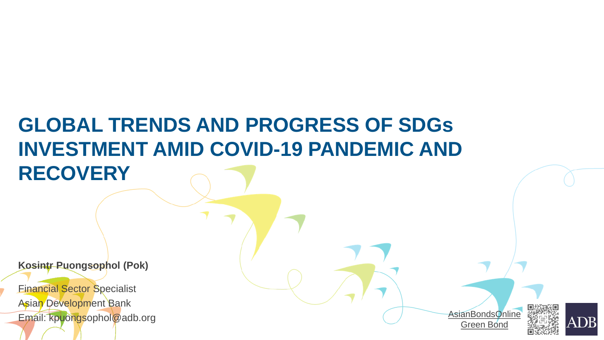# **GLOBAL TRENDS AND PROGRESS OF SDGs INVESTMENT AMID COVID-19 PANDEMIC AND RECOVERY**

**Kosintr Puongsophol (Pok)**

Financial Sector Specialist Asian Development Bank Email: kpuongsophol@adb.org

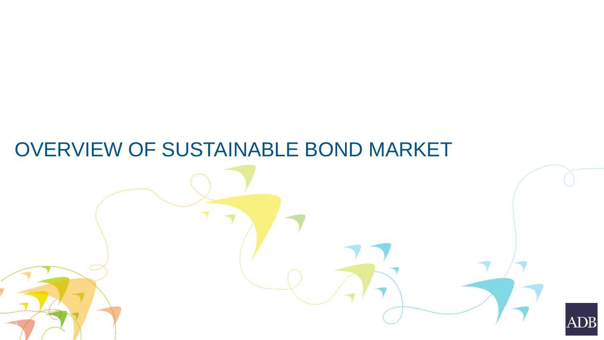## OVERVIEW OF SUSTAINABLE BOND MARKET

 $\overline{a}$ 

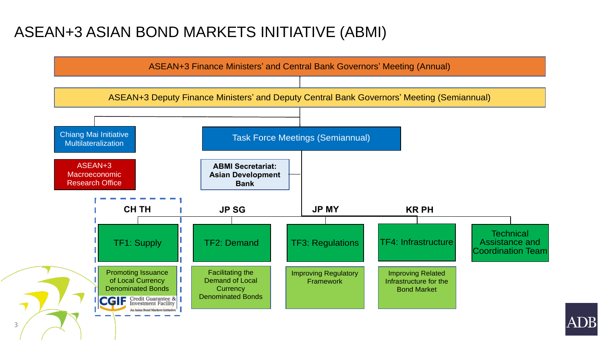### ASEAN+3 ASIAN BOND MARKETS INITIATIVE (ABMI)

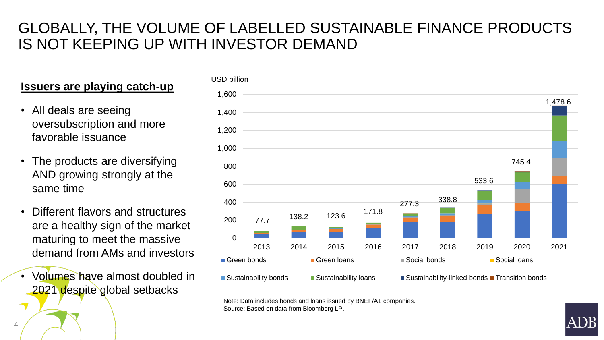### GLOBALLY, THE VOLUME OF LABELLED SUSTAINABLE FINANCE PRODUCTS IS NOT KEEPING UP WITH INVESTOR DEMAND

#### **Issuers are playing catch-up**

- All deals are seeing oversubscription and more favorable issuance
- The products are diversifying AND growing strongly at the same time
- Different flavors and structures are a healthy sign of the market maturing to meet the massive demand from AMs and investors
- Volumes have almost doubled in 2021 despite global setbacks



Note: Data includes bonds and loans issued by BNEF/A1 companies. Source: Based on data from Bloomberg LP.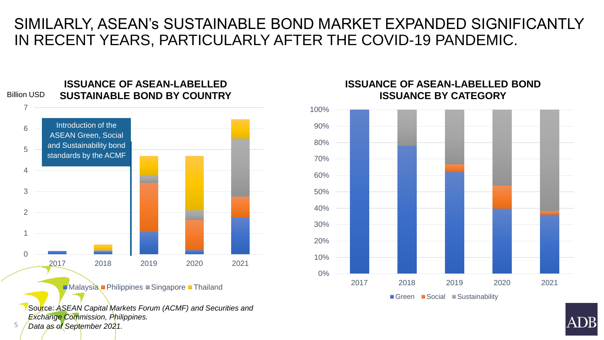### SIMILARLY, ASEAN's SUSTAINABLE BOND MARKET EXPANDED SIGNIFICANTLY IN RECENT YEARS, PARTICULARLY AFTER THE COVID-19 PANDEMIC.



Malaysia Philippines Singapore Thailand

Source: *ASEAN Capital Markets Forum (ACMF) and Securities and Exchange Commission, Philippines. Data as of September 2021.*

5



#### **ISSUANCE OF ASEAN-LABELLED BOND ISSUANCE BY CATEGORY**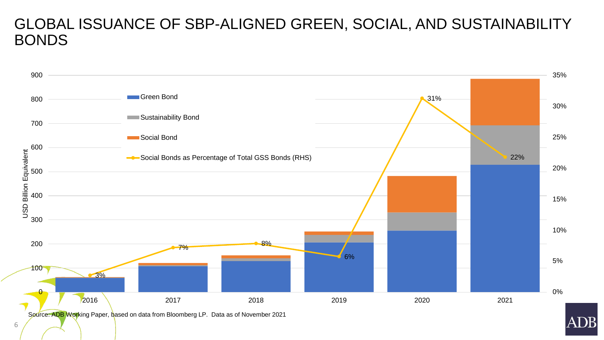### GLOBAL ISSUANCE OF SBP-ALIGNED GREEN, SOCIAL, AND SUSTAINABILITY BONDS



Source: ADB Working Paper, based on data from Bloomberg LP. Data as of November 2021

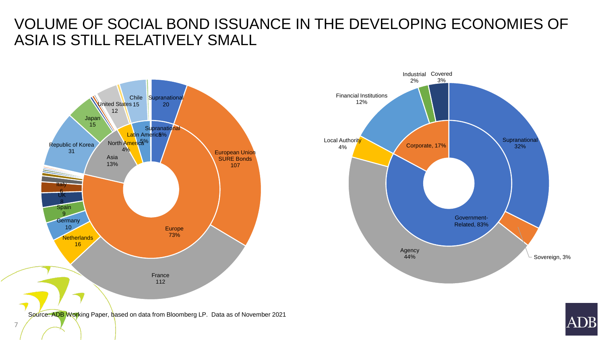### VOLUME OF SOCIAL BOND ISSUANCE IN THE DEVELOPING ECONOMIES OF ASIA IS STILL RELATIVELY SMALL





Source: ADB Working Paper, based on data from Bloomberg LP. Data as of November 2021

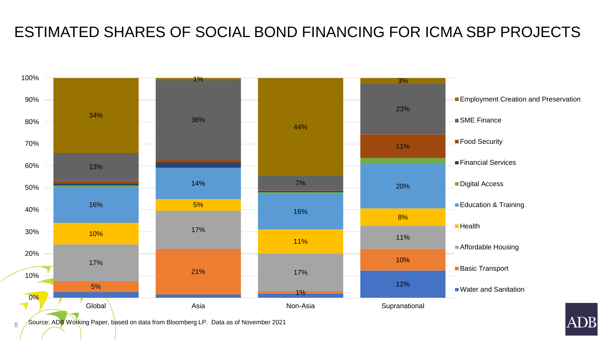### ESTIMATED SHARES OF SOCIAL BOND FINANCING FOR ICMA SBP PROJECTS



8 Source: ADB Working Paper, based on data from Bloomberg LP. Data as of November 2021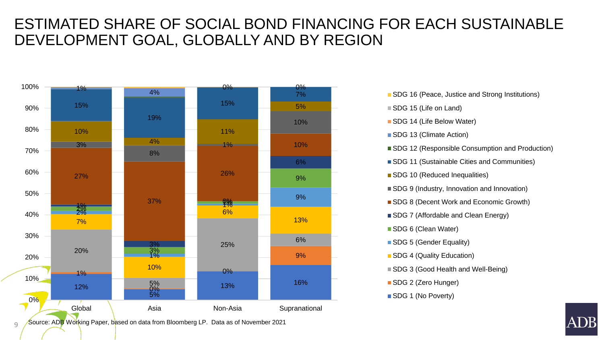### ESTIMATED SHARE OF SOCIAL BOND FINANCING FOR EACH SUSTAINABLE DEVELOPMENT GOAL, GLOBALLY AND BY REGION



■ SDG 16 (Peace, Justice and Strong Institutions) SDG 15 (Life on Land) SDG 14 (Life Below Water) SDG 13 (Climate Action) ■ SDG 12 (Responsible Consumption and Production) ■ SDG 11 (Sustainable Cities and Communities) SDG 10 (Reduced Inequalities) ■ SDG 9 (Industry, Innovation and Innovation) SDG 8 (Decent Work and Economic Growth) SDG 7 (Affordable and Clean Energy) SDG 6 (Clean Water) SDG 5 (Gender Equality) SDG 4 (Quality Education) ■ SDG 3 (Good Health and Well-Being) SDG 2 (Zero Hunger) SDG 1 (No Poverty)

 $\cup$ Source: ADB Working Paper, based on data from Bloomberg LP. Data as of November 2021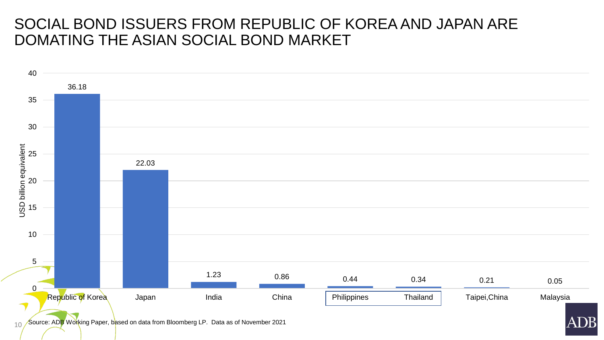### SOCIAL BOND ISSUERS FROM REPUBLIC OF KOREA AND JAPAN ARE DOMATING THE ASIAN SOCIAL BOND MARKET



 $10$  Source: ADB Working Paper, based on data from Bloomberg LP. Data as of November 2021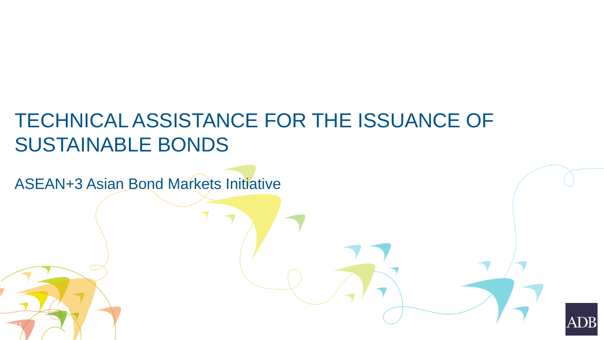# TECHNICAL ASSISTANCE FOR THE ISSUANCE OF SUSTAINABLE BONDS

ASEAN+3 Asian Bond Markets Initiative

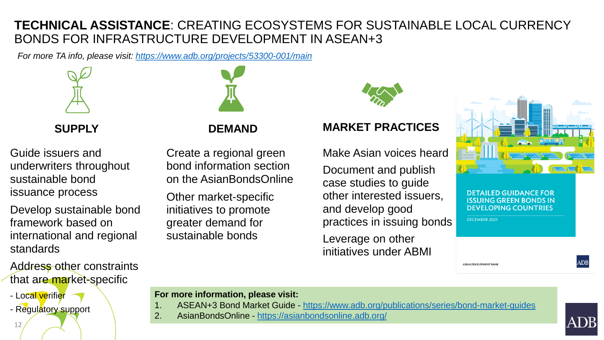#### **TECHNICAL ASSISTANCE**: CREATING ECOSYSTEMS FOR SUSTAINABLE LOCAL CURRENCY BONDS FOR INFRASTRUCTURE DEVELOPMENT IN ASEAN+3

*For more TA info, please visit: <https://www.adb.org/projects/53300-001/main>*



**SUPPLY**

Guide issuers and underwriters throughout sustainable bond issuance process

Develop sustainable bond framework based on international and regional standards

Address other constraints that are market-specific

- Local verifier
- Regulatory support



#### **DEMAND**

Create a regional green bond information section on the AsianBondsOnline

Other market-specific initiatives to promote greater demand for sustainable bonds

#### **MARKET PRACTICES**

Make Asian voices heard Document and publish case studies to guide other interested issuers, and develop good practices in issuing bonds Leverage on other initiatives under ABMI



**DETAILED GUIDANCE FOR ISSUING GREEN BONDS IN DEVELOPING COUNTRIES** 

DECEMBER 2021

**ASIAN DEVELOPMENT BAN** 

#### **For more information, please visit:**

- 1. ASEAN+3 Bond Market Guide <https://www.adb.org/publications/series/bond-market-guides>
- 2. AsianBondsOnline <https://asianbondsonline.adb.org/>



 $\mathbf{A}\mathbf{D}\mathbf{B}$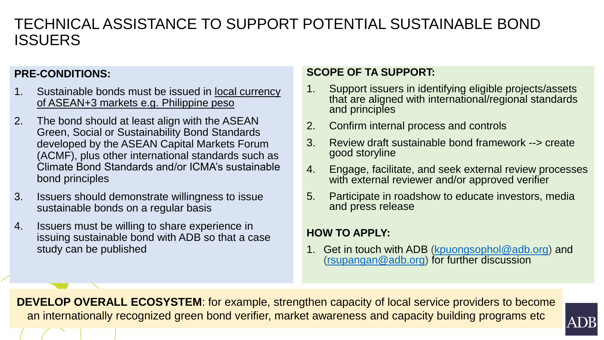### TECHNICAL ASSISTANCE TO SUPPORT POTENTIAL SUSTAINABLE BOND ISSUERS

#### **PRE-CONDITIONS:**

- 1. Sustainable bonds must be issued in <u>local currency</u> of ASEAN+3 markets e.g. Philippine peso
- 2. The bond should at least align with the ASEAN Green, Social or Sustainability Bond Standards developed by the ASEAN Capital Markets Forum (ACMF), plus other international standards such as Climate Bond Standards and/or ICMA's sustainable bond principles
- 3. Issuers should demonstrate willingness to issue sustainable bonds on a regular basis
- 4. Issuers must be willing to share experience in issuing sustainable bond with ADB so that a case study can be published

#### **SCOPE OF TA SUPPORT:**

- 1. Support issuers in identifying eligible projects/assets that are aligned with international/regional standards and principles
- 2. Confirm internal process and controls
- 3. Review draft sustainable bond framework --> create good storyline
- 4. Engage, facilitate, and seek external review processes with external reviewer and/or approved verifier
- 5. Participate in roadshow to educate investors, media and press release

#### **HOW TO APPLY:**

1. Get in touch with ADB [\(kpuongsophol@adb.org\)](mailto:kpuongsophol@adb.org) and ([rsupangan@adb.org](mailto:rsupangan@adb.org)) for further discussion

**DEVELOP OVERALL ECOSYSTEM**: for example, strengthen capacity of local service providers to become an internationally recognized green bond verifier, market awareness and capacity building programs etc

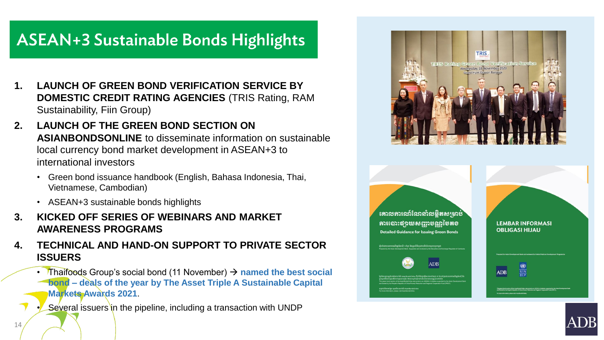### ASEAN+3 Sustainable Bonds Highlights

- **1. LAUNCH OF GREEN BOND VERIFICATION SERVICE BY DOMESTIC CREDIT RATING AGENCIES** (TRIS Rating, RAM Sustainability, Fiin Group)
- **2. LAUNCH OF THE GREEN BOND SECTION ON ASIANBONDSONLINE** to disseminate information on sustainable local currency bond market development in ASEAN+3 to international investors
	- Green bond issuance handbook (English, Bahasa Indonesia, Thai, Vietnamese, Cambodian)
	- ASEAN+3 sustainable bonds highlights
- **3. KICKED OFF SERIES OF WEBINARS AND MARKET AWARENESS PROGRAMS**
- **4. TECHNICAL AND HAND-ON SUPPORT TO PRIVATE SECTOR ISSUERS**
	- Thaifoods Group's social bond (11 November) → **named the best social bond – deals of the year by The Asset Triple A Sustainable Capital Markets Awards 2021**.
	- **Several issuers in the pipeline, including a transaction with UNDP**



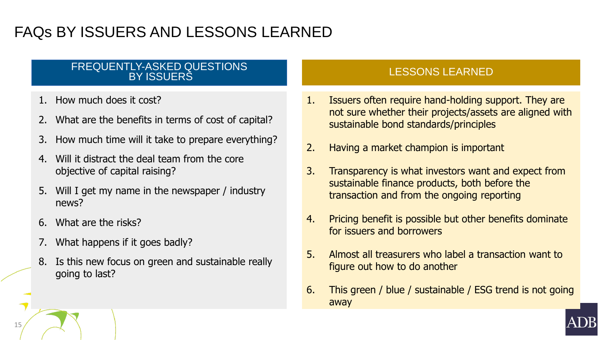### FAQs BY ISSUERS AND LESSONS LEARNED

#### FREQUENTLY-ASKED QUESTIONS BY ISSUERS

- How much does it cost?
- 2. What are the benefits in terms of cost of capital?
- 3. How much time will it take to prepare everything?
- 4. Will it distract the deal team from the core objective of capital raising?
- 5. Will I get my name in the newspaper / industry news?
- 6. What are the risks?
- 7. What happens if it goes badly?
- 8. Is this new focus on green and sustainable really going to last?

#### LESSONS LEARNED

- 1. Issuers often require hand-holding support. They are not sure whether their projects/assets are aligned with sustainable bond standards/principles
- 2. Having a market champion is important
- 3. Transparency is what investors want and expect from sustainable finance products, both before the transaction and from the ongoing reporting
- 4. Pricing benefit is possible but other benefits dominate for issuers and borrowers
- 5. Almost all treasurers who label a transaction want to figure out how to do another
- 6. This green / blue / sustainable / ESG trend is not going away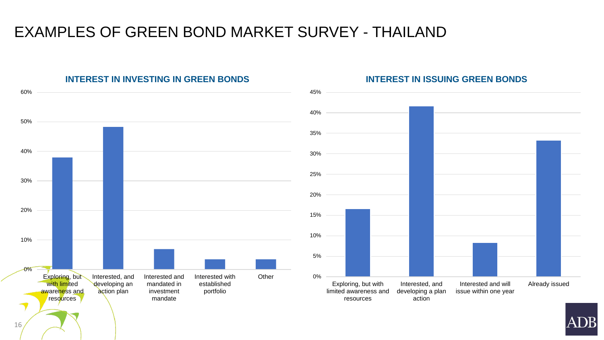

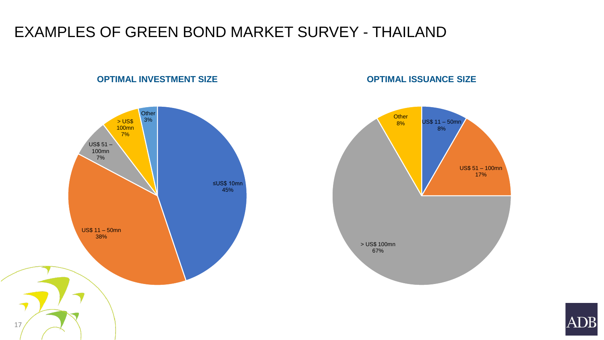#### **OPTIMAL INVESTMENT SIZE**

**OPTIMAL ISSUANCE SIZE**



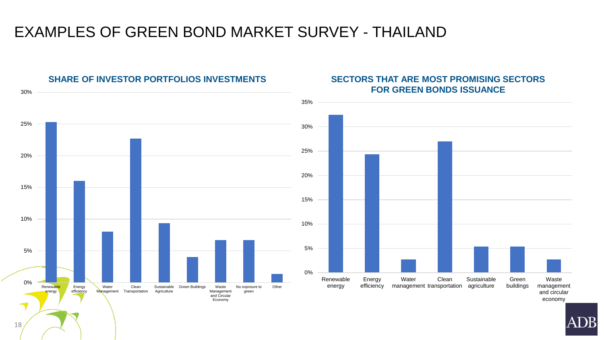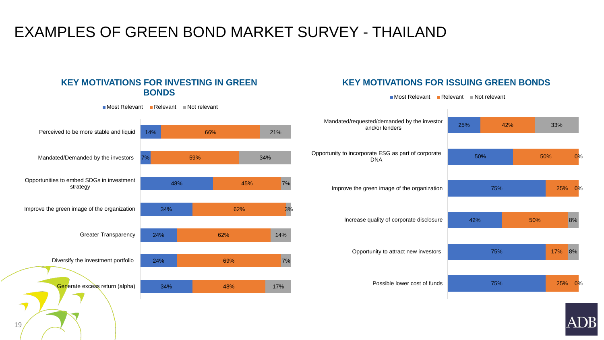#### **KEY MOTIVATIONS FOR INVESTING IN GREEN BONDS**

 $M$ ost Relevant Relevant Not relevant

#### 34% 24% 24% 34% 48%  $\frac{1}{2}$ 14% 48% 69% 62% 62% 45% 59% 66% 17% 7% 14% 3% 7% 34% 21% Generate excess return (alpha) Diversify the investment portfolio Greater Transparency Improve the green image of the organization Opportunities to embed SDGs in investment strategy Mandated/Demanded by the investors Perceived to be more stable and liquid

#### **KEY MOTIVATIONS FOR ISSUING GREEN BONDS**

 $\blacksquare$  Most Relevant  $\blacksquare$  Relevant  $\blacksquare$  Not relevant